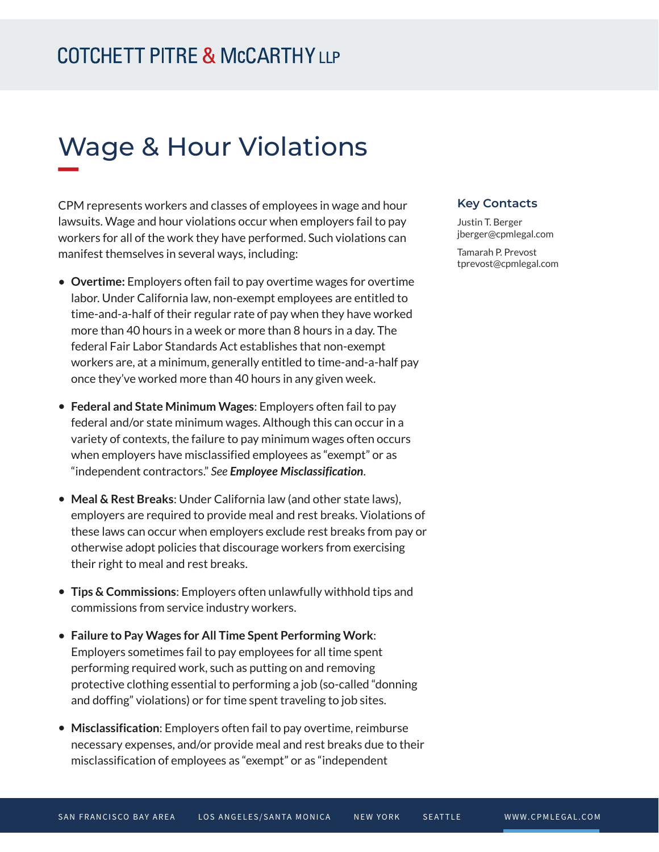# Wage & Hour Violations

CPM represents workers and classes of employees in wage and hour lawsuits. Wage and hour violations occur when employers fail to pay workers for all of the work they have performed. Such violations can manifest themselves in several ways, including:

- **Overtime:** Employers often fail to pay overtime wages for overtime labor. Under California law, non-exempt employees are entitled to time-and-a-half of their regular rate of pay when they have worked more than 40 hours in a week or more than 8 hours in a day. The federal Fair Labor Standards Act establishes that non-exempt workers are, at a minimum, generally entitled to time-and-a-half pay once they've worked more than 40 hours in any given week.
- **Federal and State Minimum Wages**: Employers often fail to pay federal and/or state minimum wages. Although this can occur in a variety of contexts, the failure to pay minimum wages often occurs when employers have misclassified employees as "exempt" or as "independent contractors." *See Employee Misclassification*.
- **Meal & Rest Breaks**: Under California law (and other state laws), employers are required to provide meal and rest breaks. Violations of these laws can occur when employers exclude rest breaks from pay or otherwise adopt policies that discourage workers from exercising their right to meal and rest breaks.
- **Tips & Commissions**: Employers often unlawfully withhold tips and commissions from service industry workers.
- **Failure to Pay Wages for All Time Spent Performing Work**: Employers sometimes fail to pay employees for all time spent performing required work, such as putting on and removing protective clothing essential to performing a job (so-called "donning and doffing" violations) or for time spent traveling to job sites.
- **Misclassification**: Employers often fail to pay overtime, reimburse necessary expenses, and/or provide meal and rest breaks due to their misclassification of employees as "exempt" or as "independent

#### **Key Contacts**

Justin T. Berger jberger@cpmlegal.com

Tamarah P. Prevost tprevost@cpmlegal.com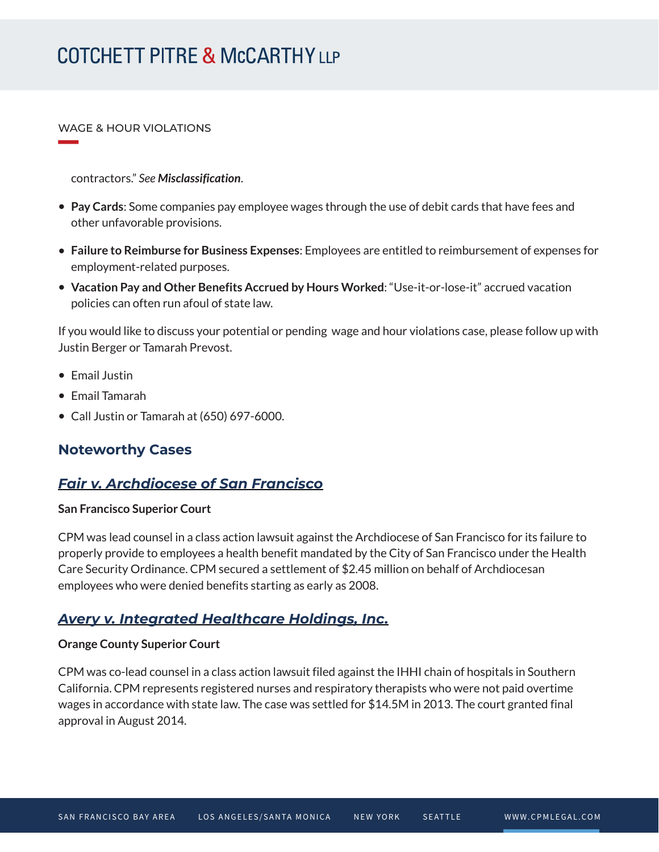# **COTCHETT PITRE & McCARTHY LLP**

WAGE & HOUR VIOLATIONS

**William Company** 

contractors." *See Misclassification*.

- **Pay Cards**: Some companies pay employee wages through the use of debit cards that have fees and other unfavorable provisions.
- **Failure to Reimburse for Business Expenses**: Employees are entitled to reimbursement of expenses for employment-related purposes.
- **Vacation Pay and Other Benefits Accrued by Hours Worked**: "Use-it-or-lose-it" accrued vacation policies can often run afoul of state law.

If you would like to discuss your potential or pending wage and hour violations case, please follow up with Justin Berger or Tamarah Prevost.

- Email Justin
- Email Tamarah
- Call Justin or Tamarah at (650) 697-6000.

# **Noteworthy Cases**

# *Fair v. Archdiocese of San Francisco*

#### **San Francisco Superior Court**

CPM was lead counsel in a class action lawsuit against the Archdiocese of San Francisco for its failure to properly provide to employees a health benefit mandated by the City of San Francisco under the Health Care Security Ordinance. CPM secured a settlement of \$2.45 million on behalf of Archdiocesan employees who were denied benefits starting as early as 2008.

# *Avery v. Integrated Healthcare Holdings, Inc.*

#### **Orange County Superior Court**

CPM was co-lead counsel in a class action lawsuit filed against the IHHI chain of hospitals in Southern California. CPM represents registered nurses and respiratory therapists who were not paid overtime wages in accordance with state law. The case was settled for \$14.5M in 2013. The court granted final approval in August 2014.